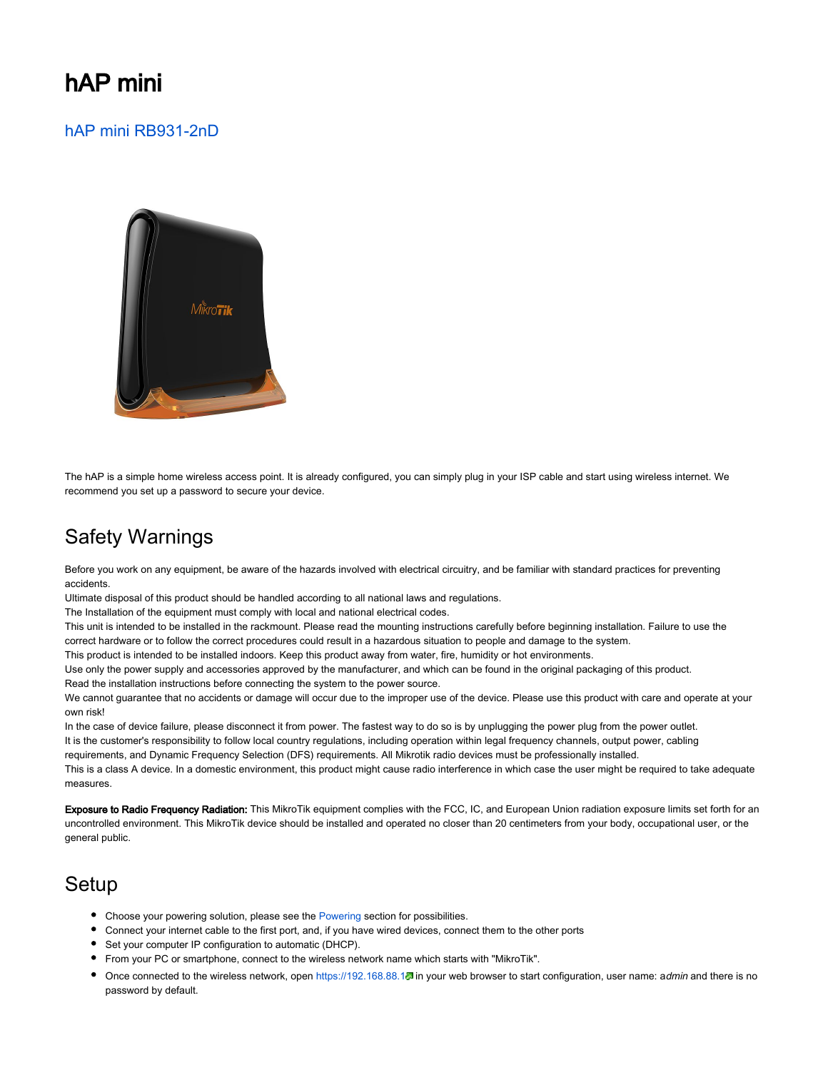# hAP mini

### [hAP mini RB931-2nD](https://mikrotik.com/product/RB931-2nD)



The hAP is a simple home wireless access point. It is already configured, you can simply plug in your ISP cable and start using wireless internet. We recommend you set up a password to secure your device.

# Safety Warnings

Before you work on any equipment, be aware of the hazards involved with electrical circuitry, and be familiar with standard practices for preventing accidents.

Ultimate disposal of this product should be handled according to all national laws and regulations.

The Installation of the equipment must comply with local and national electrical codes.

This unit is intended to be installed in the rackmount. Please read the mounting instructions carefully before beginning installation. Failure to use the correct hardware or to follow the correct procedures could result in a hazardous situation to people and damage to the system.

This product is intended to be installed indoors. Keep this product away from water, fire, humidity or hot environments.

Use only the power supply and accessories approved by the manufacturer, and which can be found in the original packaging of this product. Read the installation instructions before connecting the system to the power source.

We cannot guarantee that no accidents or damage will occur due to the improper use of the device. Please use this product with care and operate at your own risk!

In the case of device failure, please disconnect it from power. The fastest way to do so is by unplugging the power plug from the power outlet. It is the customer's responsibility to follow local country regulations, including operation within legal frequency channels, output power, cabling requirements, and Dynamic Frequency Selection (DFS) requirements. All Mikrotik radio devices must be professionally installed.

This is a class A device. In a domestic environment, this product might cause radio interference in which case the user might be required to take adequate measures.

Exposure to Radio Frequency Radiation: This MikroTik equipment complies with the FCC, IC, and European Union radiation exposure limits set forth for an uncontrolled environment. This MikroTik device should be installed and operated no closer than 20 centimeters from your body, occupational user, or the general public.

## Setup

- Choose your powering solution, please see the [Powering](#page-1-0) section for possibilities.
- Connect your internet cable to the first port, and, if you have wired devices, connect them to the other ports
- Set your computer IP configuration to automatic (DHCP).
- From your PC or smartphone, connect to the wireless network name which starts with "MikroTik".
- Once connected to the wireless network, open <https://192.168.88.1>. in your web browser to start configuration, user name: admin and there is no password by default.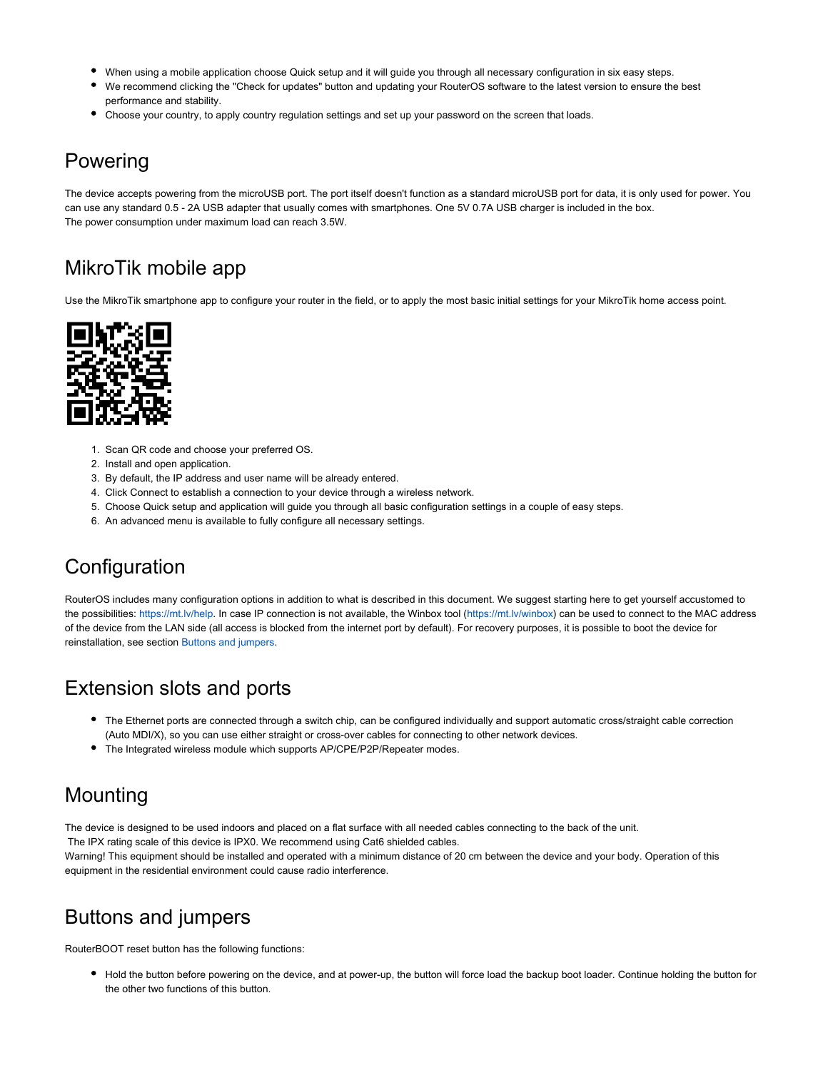- When using a mobile application choose Quick setup and it will guide you through all necessary configuration in six easy steps.
- We recommend clicking the "Check for updates" button and updating your RouterOS software to the latest version to ensure the best performance and stability.
- Choose your country, to apply country regulation settings and set up your password on the screen that loads.

## <span id="page-1-0"></span>Powering

The device accepts powering from the microUSB port. The port itself doesn't function as a standard microUSB port for data, it is only used for power. You can use any standard 0.5 - 2A USB adapter that usually comes with smartphones. One 5V 0.7A USB charger is included in the box. The power consumption under maximum load can reach 3.5W.

# MikroTik mobile app

Use the MikroTik smartphone app to configure your router in the field, or to apply the most basic initial settings for your MikroTik home access point.



- 1. Scan QR code and choose your preferred OS.
- 2. Install and open application.
- 3. By default, the IP address and user name will be already entered.
- 4. Click Connect to establish a connection to your device through a wireless network.
- 5. Choose Quick setup and application will guide you through all basic configuration settings in a couple of easy steps.
- 6. An advanced menu is available to fully configure all necessary settings.

## **Configuration**

RouterOS includes many configuration options in addition to what is described in this document. We suggest starting here to get yourself accustomed to the possibilities: [https://mt.lv/help.](https://mt.lv/help) In case IP connection is not available, the Winbox tool [\(https://mt.lv/winbox](https://mt.lv/winbox)) can be used to connect to the MAC address of the device from the LAN side (all access is blocked from the internet port by default). For recovery purposes, it is possible to boot the device for reinstallation, see section [Buttons and jumpers](#page-1-1).

## Extension slots and ports

- The Ethernet ports are connected through a switch chip, can be configured individually and support automatic cross/straight cable correction (Auto MDI/X), so you can use either straight or cross-over cables for connecting to other network devices.
- The Integrated wireless module which supports AP/CPE/P2P/Repeater modes.

## Mounting

The device is designed to be used indoors and placed on a flat surface with all needed cables connecting to the back of the unit. The IPX rating scale of this device is IPX0. We recommend using Cat6 shielded cables. Warning! This equipment should be installed and operated with a minimum distance of 20 cm between the device and your body. Operation of this equipment in the residential environment could cause radio interference.

# <span id="page-1-1"></span>Buttons and jumpers

RouterBOOT reset button has the following functions:

Hold the button before powering on the device, and at power-up, the button will force load the backup boot loader. Continue holding the button for the other two functions of this button.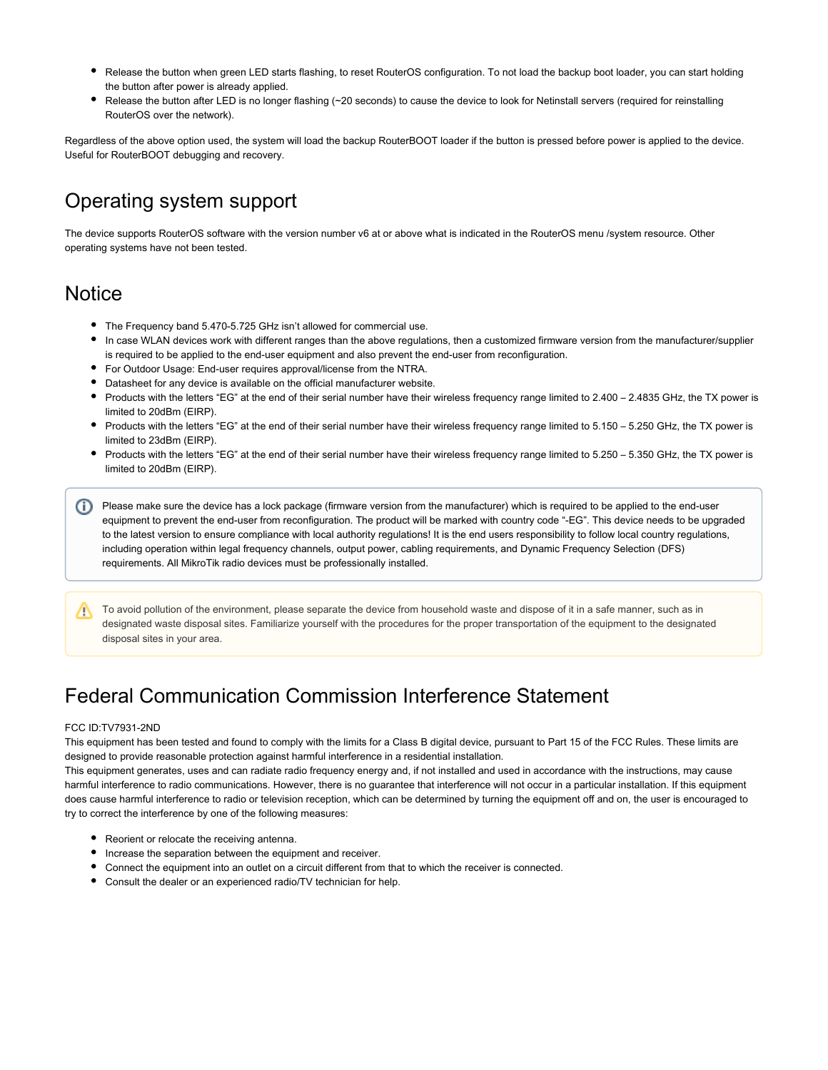- Release the button when green LED starts flashing, to reset RouterOS configuration. To not load the backup boot loader, you can start holding the button after power is already applied.
- Release the button after LED is no longer flashing (~20 seconds) to cause the device to look for Netinstall servers (required for reinstalling RouterOS over the network).

Regardless of the above option used, the system will load the backup RouterBOOT loader if the button is pressed before power is applied to the device. Useful for RouterBOOT debugging and recovery.

## Operating system support

The device supports RouterOS software with the version number v6 at or above what is indicated in the RouterOS menu /system resource. Other operating systems have not been tested.

## **Notice**

- The Frequency band 5.470-5.725 GHz isn't allowed for commercial use.
- In case WLAN devices work with different ranges than the above regulations, then a customized firmware version from the manufacturer/supplier is required to be applied to the end-user equipment and also prevent the end-user from reconfiguration.
- For Outdoor Usage: End-user requires approval/license from the NTRA.
- Datasheet for any device is available on the official manufacturer website.
- Products with the letters "EG" at the end of their serial number have their wireless frequency range limited to 2.400 2.4835 GHz, the TX power is limited to 20dBm (EIRP).
- Products with the letters "EG" at the end of their serial number have their wireless frequency range limited to 5.150 5.250 GHz, the TX power is limited to 23dBm (EIRP).
- Products with the letters "EG" at the end of their serial number have their wireless frequency range limited to 5.250 5.350 GHz, the TX power is limited to 20dBm (EIRP).

Please make sure the device has a lock package (firmware version from the manufacturer) which is required to be applied to the end-user equipment to prevent the end-user from reconfiguration. The product will be marked with country code "-EG". This device needs to be upgraded to the latest version to ensure compliance with local authority regulations! It is the end users responsibility to follow local country regulations, including operation within legal frequency channels, output power, cabling requirements, and Dynamic Frequency Selection (DFS) requirements. All MikroTik radio devices must be professionally installed.

To avoid pollution of the environment, please separate the device from household waste and dispose of it in a safe manner, such as in /∖ designated waste disposal sites. Familiarize yourself with the procedures for the proper transportation of the equipment to the designated disposal sites in your area.

# Federal Communication Commission Interference Statement

#### FCC ID:TV7931-2ND

This equipment has been tested and found to comply with the limits for a Class B digital device, pursuant to Part 15 of the FCC Rules. These limits are designed to provide reasonable protection against harmful interference in a residential installation.

This equipment generates, uses and can radiate radio frequency energy and, if not installed and used in accordance with the instructions, may cause harmful interference to radio communications. However, there is no guarantee that interference will not occur in a particular installation. If this equipment does cause harmful interference to radio or television reception, which can be determined by turning the equipment off and on, the user is encouraged to try to correct the interference by one of the following measures:

- Reorient or relocate the receiving antenna.
- Increase the separation between the equipment and receiver.
- Connect the equipment into an outlet on a circuit different from that to which the receiver is connected.
- Consult the dealer or an experienced radio/TV technician for help.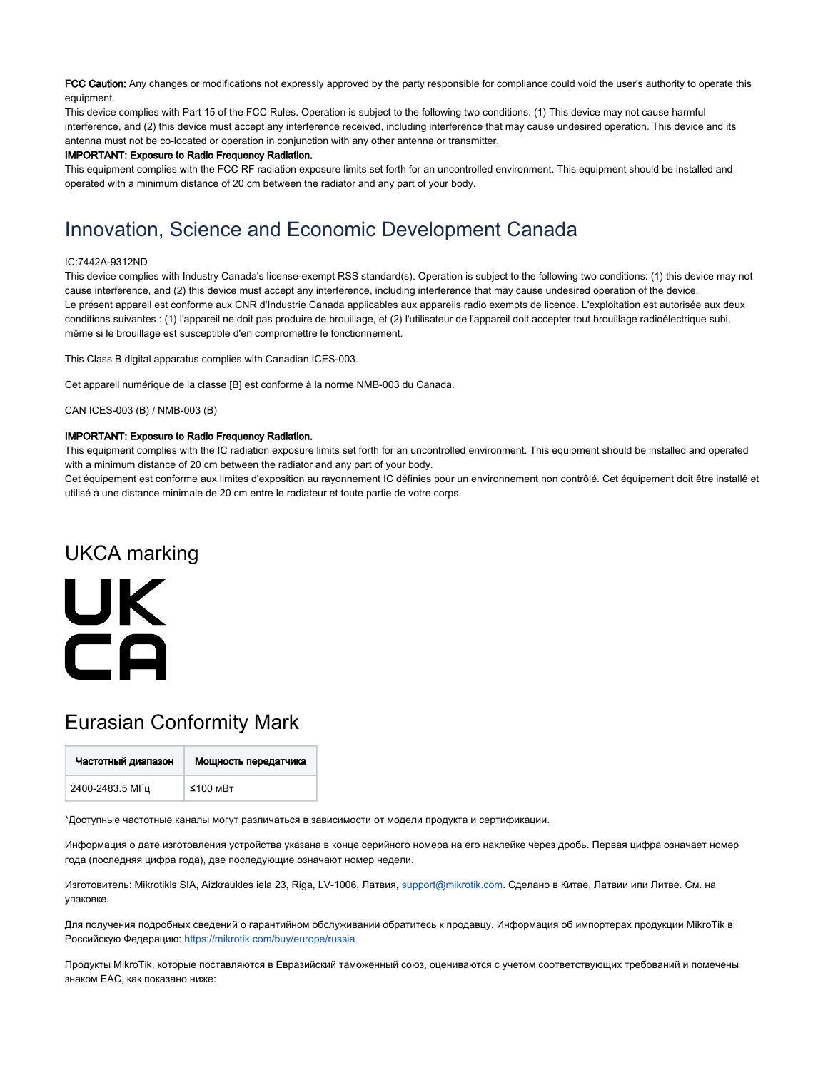FCC Caution: Any changes or modifications not expressly approved by the party responsible for compliance could void the user's authority to operate this equipment.

This device complies with Part 15 of the FCC Rules. Operation is subject to the following two conditions: (1) This device may not cause harmful interference, and (2) this device must accept any interference received, including interference that may cause undesired operation. This device and its antenna must not be co-located or operation in conjunction with any other antenna or transmitter.

#### IMPORTANT: Exposure to Radio Frequency Radiation.

This equipment complies with the FCC RF radiation exposure limits set forth for an uncontrolled environment. This equipment should be installed and operated with a minimum distance of 20 cm between the radiator and any part of your body.

## Innovation, Science and Economic Development Canada

#### IC:7442A-9312ND

This device complies with Industry Canada's license-exempt RSS standard(s). Operation is subject to the following two conditions: (1) this device may not cause interference, and (2) this device must accept any interference, including interference that may cause undesired operation of the device. Le présent appareil est conforme aux CNR d'Industrie Canada applicables aux appareils radio exempts de licence. L'exploitation est autorisée aux deux conditions suivantes : (1) l'appareil ne doit pas produire de brouillage, et (2) l'utilisateur de l'appareil doit accepter tout brouillage radioélectrique subi, même si le brouillage est susceptible d'en compromettre le fonctionnement.

This Class B digital apparatus complies with Canadian ICES-003.

Cet appareil numérique de la classe [B] est conforme à la norme NMB-003 du Canada.

CAN ICES-003 (B) / NMB-003 (B)

#### IMPORTANT: Exposure to Radio Frequency Radiation.

This equipment complies with the IC radiation exposure limits set forth for an uncontrolled environment. This equipment should be installed and operated with a minimum distance of 20 cm between the radiator and any part of your body.

Cet équipement est conforme aux limites d'exposition au rayonnement IC définies pour un environnement non contrôlé. Cet équipement doit être installé et utilisé à une distance minimale de 20 cm entre le radiateur et toute partie de votre corps.

# UKCA marking UK  $\Box$

## Eurasian Conformity Mark

| Частотный диапазон | Мощность передатчика |
|--------------------|----------------------|
| 2400-2483.5 МГц    | ≤100 мВт             |

\*Доступные частотные каналы могут различаться в зависимости от модели продукта и сертификации.

Информация о дате изготовления устройства указана в конце серийного номера на его наклейке через дробь. Первая цифра означает номер года (последняя цифра года), две последующие означают номер недели.

Изготовитель: Mikrotikls SIA, Aizkraukles iela 23, Riga, LV-1006, Латвия, [support@mikrotik.com.](mailto:support@mikrotik.com) Сделано в Китае, Латвии или Литве. Cм. на упаковке.

Для получения подробных сведений о гарантийном обслуживании обратитесь к продавцу. Информация об импортерах продукции MikroTik в Российскую Федерацию: <https://mikrotik.com/buy/europe/russia>

Продукты MikroTik, которые поставляются в Евразийский таможенный союз, оцениваются с учетом соответствующих требований и помечены знаком EAC, как показано ниже: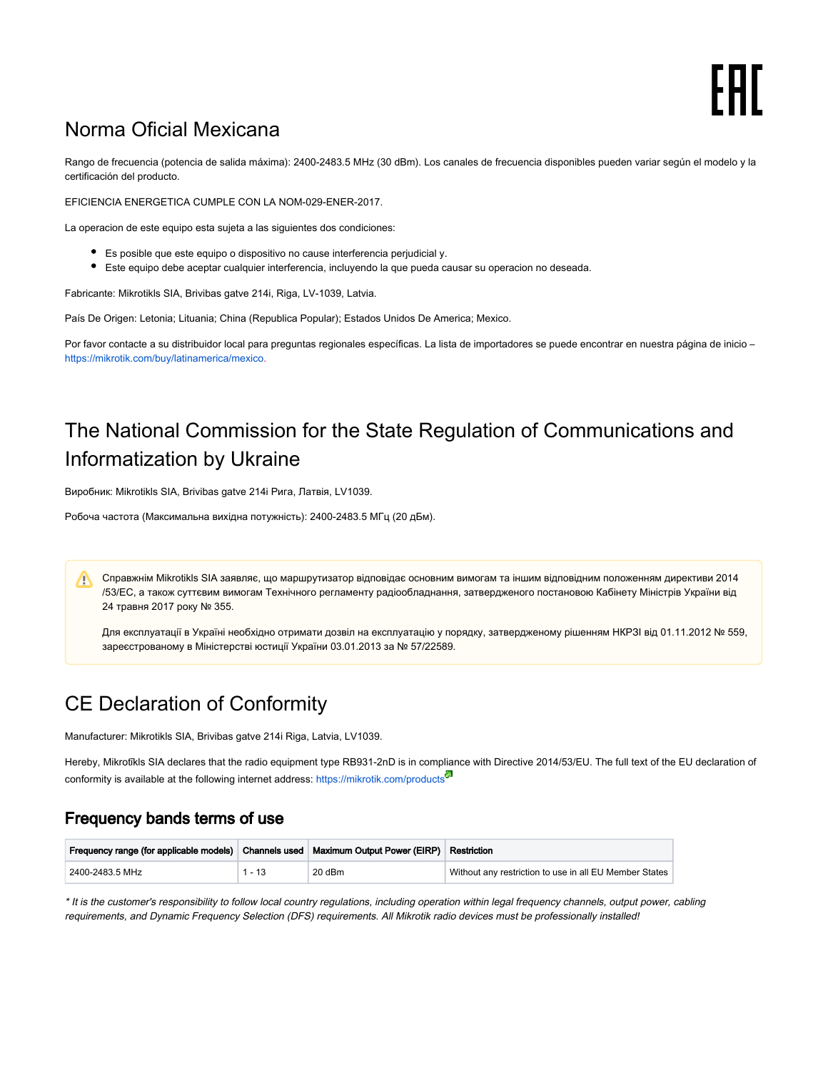# Norma Oficial Mexicana

Rango de frecuencia (potencia de salida máxima): 2400-2483.5 MHz (30 dBm). Los canales de frecuencia disponibles pueden variar según el modelo y la certificación del producto.

EFICIENCIA ENERGETICA CUMPLE CON LA NOM-029-ENER-2017.

La operacion de este equipo esta sujeta a las siguientes dos condiciones:

- Es posible que este equipo o dispositivo no cause interferencia perjudicial y.
- Este equipo debe aceptar cualquier interferencia, incluyendo la que pueda causar su operacion no deseada.

Fabricante: Mikrotikls SIA, Brivibas gatve 214i, Riga, LV-1039, Latvia.

País De Origen: Letonia; Lituania; China (Republica Popular); Estados Unidos De America; Mexico.

Por favor contacte a su distribuidor local para preguntas regionales específicas. La lista de importadores se puede encontrar en nuestra página de inicio – <https://mikrotik.com/buy/latinamerica/mexico>.

# The National Commission for the State Regulation of Communications and Informatization by Ukraine

Виробник: Mikrotikls SIA, Brivibas gatve 214i Рига, Латвія, LV1039.

Робоча частота (Максимальна вихідна потужність): 2400-2483.5 МГц (20 дБм).

Справжнім Mikrotikls SIA заявляє, що маршрутизатор відповідає основним вимогам та іншим відповідним положенням директиви 2014 ∧ /53/EC, а також суттєвим вимогам Технічного регламенту радіообладнання, затвердженого постановою Кабінету Міністрів України від 24 травня 2017 року № 355.

Для експлуатації в Україні необхідно отримати дозвіл на експлуатацію у порядку, затвердженому рішенням НКРЗІ від 01.11.2012 № 559, зареєстрованому в Міністерстві юстиції України 03.01.2013 за № 57/22589.

# CE Declaration of Conformity

Manufacturer: Mikrotikls SIA, Brivibas gatve 214i Riga, Latvia, LV1039.

Hereby, Mikrotīkls SIA declares that the radio equipment type RB931-2nD is in compliance with Directive 2014/53/EU. The full text of the EU declaration of conformity is available at the following internet address: <https://mikrotik.com/products><sup>53</sup>

## Frequency bands terms of use

| Frequency range (for applicable models)   Channels used   Maximum Output Power (EIRP)   Restriction |          |        |                                                        |
|-----------------------------------------------------------------------------------------------------|----------|--------|--------------------------------------------------------|
| 2400-2483.5 MHz                                                                                     | $1 - 13$ | 20 dBm | Without any restriction to use in all EU Member States |

\* It is the customer's responsibility to follow local country regulations, including operation within legal frequency channels, output power, cabling requirements, and Dynamic Frequency Selection (DFS) requirements. All Mikrotik radio devices must be professionally installed!